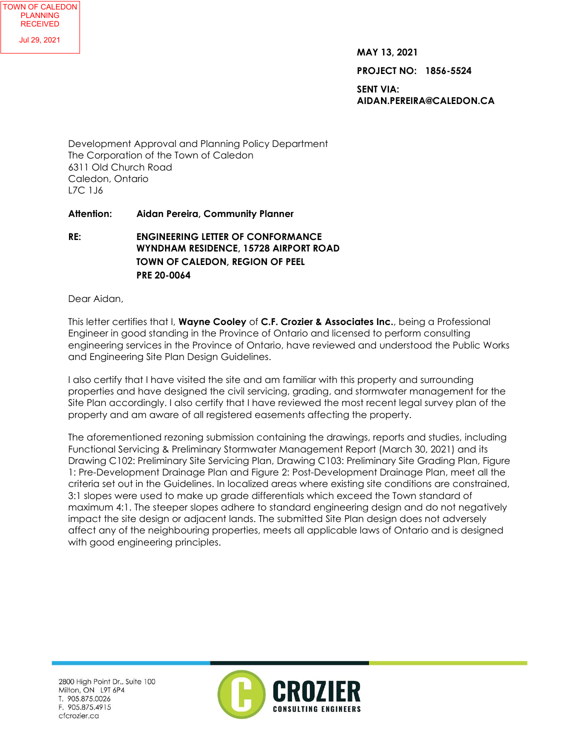**MAY 13, 2021**

**PROJECT NO: 1856-5524**

**SENT VIA: AIDAN.PEREIRA@CALEDON.CA**

Development Approval and Planning Policy Department The Corporation of the Town of Caledon 6311 Old Church Road Caledon, Ontario L7C 1J6

## **Attention: Aidan Pereira, Community Planner**

**RE: ENGINEERING LETTER OF CONFORMANCE WYNDHAM RESIDENCE, 15728 AIRPORT ROAD TOWN OF CALEDON, REGION OF PEEL PRE 20-0064**

Dear Aidan,

This letter certifies that I, **Wayne Cooley** of **C.F. Crozier & Associates Inc.**, being a Professional Engineer in good standing in the Province of Ontario and licensed to perform consulting engineering services in the Province of Ontario, have reviewed and understood the Public Works and Engineering Site Plan Design Guidelines.

I also certify that I have visited the site and am familiar with this property and surrounding properties and have designed the civil servicing, grading, and stormwater management for the Site Plan accordingly. I also certify that I have reviewed the most recent legal survey plan of the property and am aware of all registered easements affecting the property.

The aforementioned rezoning submission containing the drawings, reports and studies, including Functional Servicing & Preliminary Stormwater Management Report (March 30, 2021) and its Drawing C102: Preliminary Site Servicing Plan, Drawing C103: Preliminary Site Grading Plan, Figure 1: Pre-Development Drainage Plan and Figure 2: Post-Development Drainage Plan, meet all the criteria set out in the Guidelines. In localized areas where existing site conditions are constrained, 3:1 slopes were used to make up grade differentials which exceed the Town standard of maximum 4:1. The steeper slopes adhere to standard engineering design and do not negatively impact the site design or adjacent lands. The submitted Site Plan design does not adversely affect any of the neighbouring properties, meets all applicable laws of Ontario and is designed with good engineering principles.

2800 High Point Dr., Suite 100 Milton, ON L9T 6P4 T. 905.875.0026 F. 905.875.4915 cfcrozier.ca